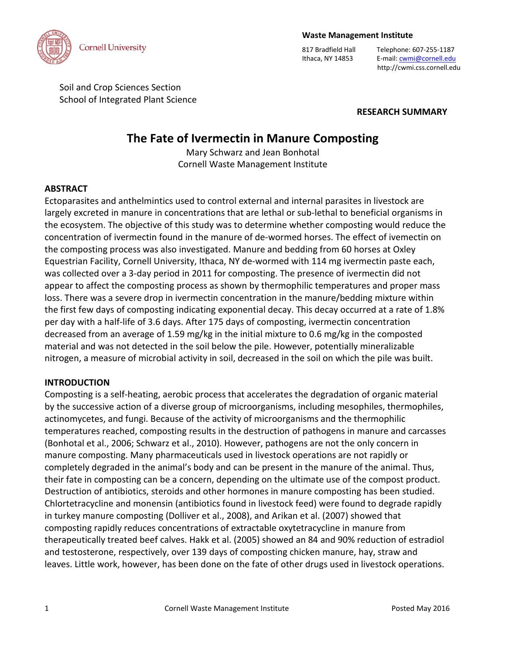

#### **Waste Management Institute**

817 Bradfield Hall Telephone: 607-255-1187 Ithaca, NY 14853 E-mail[: cwmi@cornell.edu](mailto:cwmi@cornell.edu) http://cwmi.css.cornell.edu

Soil and Crop Sciences Section School of Integrated Plant Science

**RESEARCH SUMMARY**

# **The Fate of Ivermectin in Manure Composting**

Mary Schwarz and Jean Bonhotal Cornell Waste Management Institute

#### **ABSTRACT**

Ectoparasites and anthelmintics used to control external and internal parasites in livestock are largely excreted in manure in concentrations that are lethal or sub-lethal to beneficial organisms in the ecosystem. The objective of this study was to determine whether composting would reduce the concentration of ivermectin found in the manure of de-wormed horses. The effect of ivemectin on the composting process was also investigated. Manure and bedding from 60 horses at Oxley Equestrian Facility, Cornell University, Ithaca, NY de-wormed with 114 mg ivermectin paste each, was collected over a 3-day period in 2011 for composting. The presence of ivermectin did not appear to affect the composting process as shown by thermophilic temperatures and proper mass loss. There was a severe drop in ivermectin concentration in the manure/bedding mixture within the first few days of composting indicating exponential decay. This decay occurred at a rate of 1.8% per day with a half-life of 3.6 days. After 175 days of composting, ivermectin concentration decreased from an average of 1.59 mg/kg in the initial mixture to 0.6 mg/kg in the composted material and was not detected in the soil below the pile. However, potentially mineralizable nitrogen, a measure of microbial activity in soil, decreased in the soil on which the pile was built.

#### **INTRODUCTION**

Composting is a self-heating, aerobic process that accelerates the degradation of organic material by the successive action of a diverse group of microorganisms, including mesophiles, thermophiles, actinomycetes, and fungi. Because of the activity of microorganisms and the thermophilic temperatures reached, composting results in the destruction of pathogens in manure and carcasses (Bonhotal et al., 2006; Schwarz et al., 2010). However, pathogens are not the only concern in manure composting. Many pharmaceuticals used in livestock operations are not rapidly or completely degraded in the animal's body and can be present in the manure of the animal. Thus, their fate in composting can be a concern, depending on the ultimate use of the compost product. Destruction of antibiotics, steroids and other hormones in manure composting has been studied. Chlortetracycline and monensin (antibiotics found in livestock feed) were found to degrade rapidly in turkey manure composting (Dolliver et al., 2008), and Arikan et al. (2007) showed that composting rapidly reduces concentrations of extractable oxytetracycline in manure from therapeutically treated beef calves. Hakk et al. (2005) showed an 84 and 90% reduction of estradiol and testosterone, respectively, over 139 days of composting chicken manure, hay, straw and leaves. Little work, however, has been done on the fate of other drugs used in livestock operations.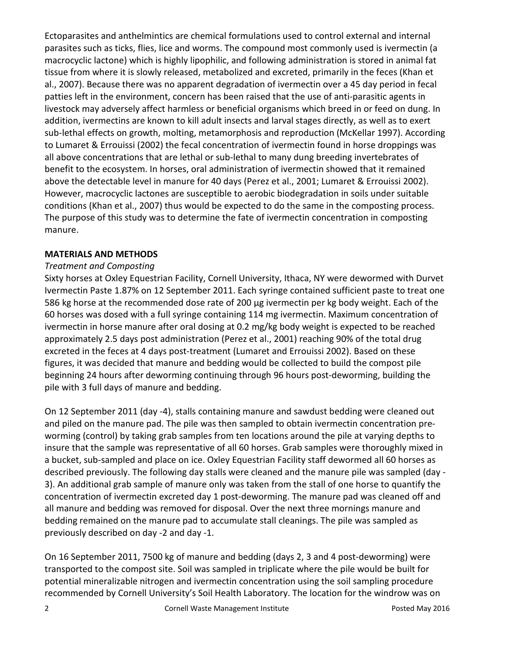Ectoparasites and anthelmintics are chemical formulations used to control external and internal parasites such as ticks, flies, lice and worms. The compound most commonly used is ivermectin (a macrocyclic lactone) which is highly lipophilic, and following administration is stored in animal fat tissue from where it is slowly released, metabolized and excreted, primarily in the feces (Khan et al., 2007). Because there was no apparent degradation of ivermectin over a 45 day period in fecal patties left in the environment, concern has been raised that the use of anti-parasitic agents in livestock may adversely affect harmless or beneficial organisms which breed in or feed on dung. In addition, ivermectins are known to kill adult insects and larval stages directly, as well as to exert sub-lethal effects on growth, molting, metamorphosis and reproduction (McKellar 1997). According to Lumaret & Errouissi (2002) the fecal concentration of ivermectin found in horse droppings was all above concentrations that are lethal or sub-lethal to many dung breeding invertebrates of benefit to the ecosystem. In horses, oral administration of ivermectin showed that it remained above the detectable level in manure for 40 days (Perez et al., 2001; Lumaret & Errouissi 2002). However, macrocyclic lactones are susceptible to aerobic biodegradation in soils under suitable conditions (Khan et al., 2007) thus would be expected to do the same in the composting process. The purpose of this study was to determine the fate of ivermectin concentration in composting manure.

## **MATERIALS AND METHODS**

## *Treatment and Composting*

Sixty horses at Oxley Equestrian Facility, Cornell University, Ithaca, NY were dewormed with Durvet Ivermectin Paste 1.87% on 12 September 2011. Each syringe contained sufficient paste to treat one 586 kg horse at the recommended dose rate of 200 µg ivermectin per kg body weight. Each of the 60 horses was dosed with a full syringe containing 114 mg ivermectin. Maximum concentration of ivermectin in horse manure after oral dosing at 0.2 mg/kg body weight is expected to be reached approximately 2.5 days post administration (Perez et al., 2001) reaching 90% of the total drug excreted in the feces at 4 days post-treatment (Lumaret and Errouissi 2002). Based on these figures, it was decided that manure and bedding would be collected to build the compost pile beginning 24 hours after deworming continuing through 96 hours post-deworming, building the pile with 3 full days of manure and bedding.

On 12 September 2011 (day -4), stalls containing manure and sawdust bedding were cleaned out and piled on the manure pad. The pile was then sampled to obtain ivermectin concentration preworming (control) by taking grab samples from ten locations around the pile at varying depths to insure that the sample was representative of all 60 horses. Grab samples were thoroughly mixed in a bucket, sub-sampled and place on ice. Oxley Equestrian Facility staff dewormed all 60 horses as described previously. The following day stalls were cleaned and the manure pile was sampled (day - 3). An additional grab sample of manure only was taken from the stall of one horse to quantify the concentration of ivermectin excreted day 1 post-deworming. The manure pad was cleaned off and all manure and bedding was removed for disposal. Over the next three mornings manure and bedding remained on the manure pad to accumulate stall cleanings. The pile was sampled as previously described on day -2 and day -1.

On 16 September 2011, 7500 kg of manure and bedding (days 2, 3 and 4 post-deworming) were transported to the compost site. Soil was sampled in triplicate where the pile would be built for potential mineralizable nitrogen and ivermectin concentration using the soil sampling procedure recommended by Cornell University's Soil Health Laboratory. The location for the windrow was on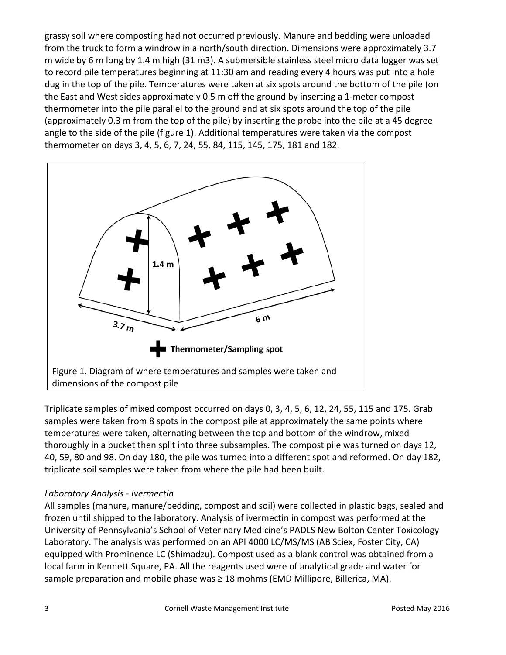grassy soil where composting had not occurred previously. Manure and bedding were unloaded from the truck to form a windrow in a north/south direction. Dimensions were approximately 3.7 m wide by 6 m long by 1.4 m high (31 m3). A submersible stainless steel micro data logger was set to record pile temperatures beginning at 11:30 am and reading every 4 hours was put into a hole dug in the top of the pile. Temperatures were taken at six spots around the bottom of the pile (on the East and West sides approximately 0.5 m off the ground by inserting a 1-meter compost thermometer into the pile parallel to the ground and at six spots around the top of the pile (approximately 0.3 m from the top of the pile) by inserting the probe into the pile at a 45 degree angle to the side of the pile (figure 1). Additional temperatures were taken via the compost thermometer on days 3, 4, 5, 6, 7, 24, 55, 84, 115, 145, 175, 181 and 182.



Triplicate samples of mixed compost occurred on days 0, 3, 4, 5, 6, 12, 24, 55, 115 and 175. Grab samples were taken from 8 spots in the compost pile at approximately the same points where temperatures were taken, alternating between the top and bottom of the windrow, mixed thoroughly in a bucket then split into three subsamples. The compost pile was turned on days 12, 40, 59, 80 and 98. On day 180, the pile was turned into a different spot and reformed. On day 182, triplicate soil samples were taken from where the pile had been built.

## *Laboratory Analysis - Ivermectin*

All samples (manure, manure/bedding, compost and soil) were collected in plastic bags, sealed and frozen until shipped to the laboratory. Analysis of ivermectin in compost was performed at the University of Pennsylvania's School of Veterinary Medicine's PADLS New Bolton Center Toxicology Laboratory. The analysis was performed on an API 4000 LC/MS/MS (AB Sciex, Foster City, CA) equipped with Prominence LC (Shimadzu). Compost used as a blank control was obtained from a local farm in Kennett Square, PA. All the reagents used were of analytical grade and water for sample preparation and mobile phase was  $\geq 18$  mohms (EMD Millipore, Billerica, MA).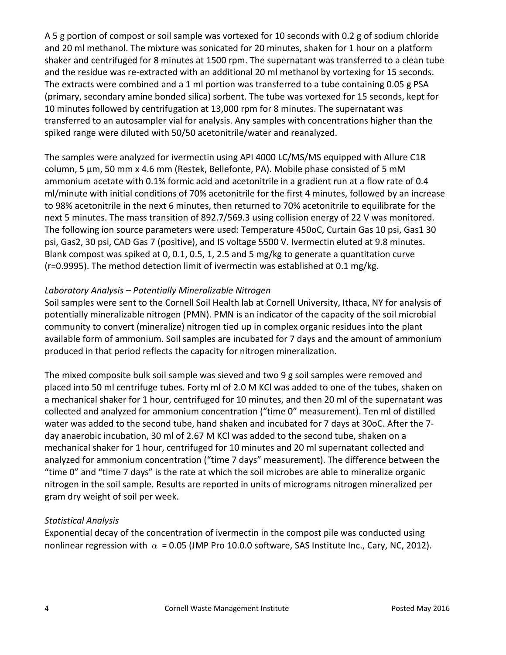A 5 g portion of compost or soil sample was vortexed for 10 seconds with 0.2 g of sodium chloride and 20 ml methanol. The mixture was sonicated for 20 minutes, shaken for 1 hour on a platform shaker and centrifuged for 8 minutes at 1500 rpm. The supernatant was transferred to a clean tube and the residue was re-extracted with an additional 20 ml methanol by vortexing for 15 seconds. The extracts were combined and a 1 ml portion was transferred to a tube containing 0.05 g PSA (primary, secondary amine bonded silica) sorbent. The tube was vortexed for 15 seconds, kept for 10 minutes followed by centrifugation at 13,000 rpm for 8 minutes. The supernatant was transferred to an autosampler vial for analysis. Any samples with concentrations higher than the spiked range were diluted with 50/50 acetonitrile/water and reanalyzed.

The samples were analyzed for ivermectin using API 4000 LC/MS/MS equipped with Allure C18 column, 5 µm, 50 mm x 4.6 mm (Restek, Bellefonte, PA). Mobile phase consisted of 5 mM ammonium acetate with 0.1% formic acid and acetonitrile in a gradient run at a flow rate of 0.4 ml/minute with initial conditions of 70% acetonitrile for the first 4 minutes, followed by an increase to 98% acetonitrile in the next 6 minutes, then returned to 70% acetonitrile to equilibrate for the next 5 minutes. The mass transition of 892.7/569.3 using collision energy of 22 V was monitored. The following ion source parameters were used: Temperature 450oC, Curtain Gas 10 psi, Gas1 30 psi, Gas2, 30 psi, CAD Gas 7 (positive), and IS voltage 5500 V. Ivermectin eluted at 9.8 minutes. Blank compost was spiked at 0, 0.1, 0.5, 1, 2.5 and 5 mg/kg to generate a quantitation curve (r=0.9995). The method detection limit of ivermectin was established at 0.1 mg/kg.

## *Laboratory Analysis – Potentially Mineralizable Nitrogen*

Soil samples were sent to the Cornell Soil Health lab at Cornell University, Ithaca, NY for analysis of potentially mineralizable nitrogen (PMN). PMN is an indicator of the capacity of the soil microbial community to convert (mineralize) nitrogen tied up in complex organic residues into the plant available form of ammonium. Soil samples are incubated for 7 days and the amount of ammonium produced in that period reflects the capacity for nitrogen mineralization.

The mixed composite bulk soil sample was sieved and two 9 g soil samples were removed and placed into 50 ml centrifuge tubes. Forty ml of 2.0 M KCl was added to one of the tubes, shaken on a mechanical shaker for 1 hour, centrifuged for 10 minutes, and then 20 ml of the supernatant was collected and analyzed for ammonium concentration ("time 0" measurement). Ten ml of distilled water was added to the second tube, hand shaken and incubated for 7 days at 30oC. After the 7 day anaerobic incubation, 30 ml of 2.67 M KCl was added to the second tube, shaken on a mechanical shaker for 1 hour, centrifuged for 10 minutes and 20 ml supernatant collected and analyzed for ammonium concentration ("time 7 days" measurement). The difference between the "time 0" and "time 7 days" is the rate at which the soil microbes are able to mineralize organic nitrogen in the soil sample. Results are reported in units of micrograms nitrogen mineralized per gram dry weight of soil per week.

## *Statistical Analysis*

Exponential decay of the concentration of ivermectin in the compost pile was conducted using nonlinear regression with  $\alpha$  = 0.05 (JMP Pro 10.0.0 software, SAS Institute Inc., Cary, NC, 2012).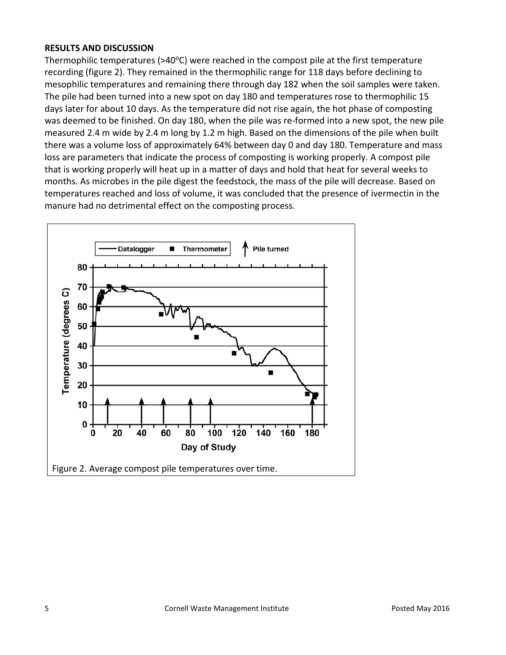#### **RESULTS AND DISCUSSION**

Thermophilic temperatures ( $>40^{\circ}$ C) were reached in the compost pile at the first temperature recording (figure 2). They remained in the thermophilic range for 118 days before declining to mesophilic temperatures and remaining there through day 182 when the soil samples were taken. The pile had been turned into a new spot on day 180 and temperatures rose to thermophilic 15 days later for about 10 days. As the temperature did not rise again, the hot phase of composting was deemed to be finished. On day 180, when the pile was re-formed into a new spot, the new pile measured 2.4 m wide by 2.4 m long by 1.2 m high. Based on the dimensions of the pile when built there was a volume loss of approximately 64% between day 0 and day 180. Temperature and mass loss are parameters that indicate the process of composting is working properly. A compost pile that is working properly will heat up in a matter of days and hold that heat for several weeks to months. As microbes in the pile digest the feedstock, the mass of the pile will decrease. Based on temperatures reached and loss of volume, it was concluded that the presence of ivermectin in the manure had no detrimental effect on the composting process.

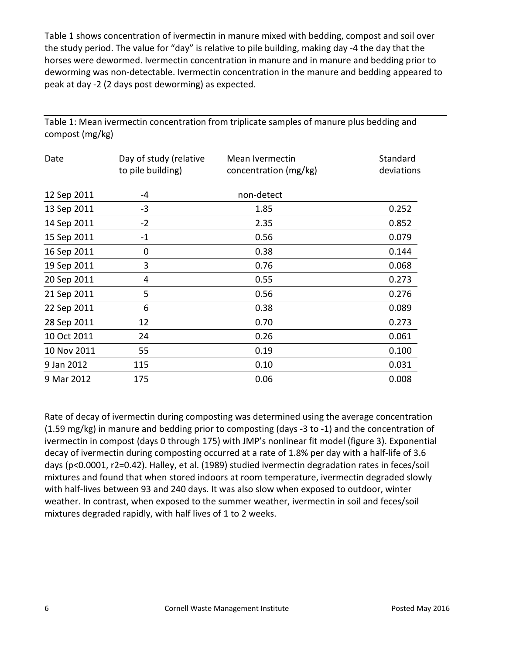Table 1 shows concentration of ivermectin in manure mixed with bedding, compost and soil over the study period. The value for "day" is relative to pile building, making day -4 the day that the horses were dewormed. Ivermectin concentration in manure and in manure and bedding prior to deworming was non-detectable. Ivermectin concentration in the manure and bedding appeared to peak at day -2 (2 days post deworming) as expected.

| Date        | Day of study (relative<br>to pile building) | Mean Ivermectin<br>concentration (mg/kg) | Standard<br>deviations |
|-------------|---------------------------------------------|------------------------------------------|------------------------|
| 12 Sep 2011 | -4                                          | non-detect                               |                        |
| 13 Sep 2011 | $-3$                                        | 1.85                                     | 0.252                  |
| 14 Sep 2011 | $-2$                                        | 2.35                                     | 0.852                  |
| 15 Sep 2011 | $-1$                                        | 0.56                                     | 0.079                  |
| 16 Sep 2011 | 0                                           | 0.38                                     | 0.144                  |
| 19 Sep 2011 | 3                                           | 0.76                                     | 0.068                  |
| 20 Sep 2011 | 4                                           | 0.55                                     | 0.273                  |
| 21 Sep 2011 | 5                                           | 0.56                                     | 0.276                  |
| 22 Sep 2011 | 6                                           | 0.38                                     | 0.089                  |
| 28 Sep 2011 | 12                                          | 0.70                                     | 0.273                  |
| 10 Oct 2011 | 24                                          | 0.26                                     | 0.061                  |
| 10 Nov 2011 | 55                                          | 0.19                                     | 0.100                  |
| 9 Jan 2012  | 115                                         | 0.10                                     | 0.031                  |
| 9 Mar 2012  | 175                                         | 0.06                                     | 0.008                  |

Table 1: Mean ivermectin concentration from triplicate samples of manure plus bedding and compost (mg/kg)

Rate of decay of ivermectin during composting was determined using the average concentration (1.59 mg/kg) in manure and bedding prior to composting (days -3 to -1) and the concentration of ivermectin in compost (days 0 through 175) with JMP's nonlinear fit model (figure 3). Exponential decay of ivermectin during composting occurred at a rate of 1.8% per day with a half-life of 3.6 days (p<0.0001, r2=0.42). Halley, et al. (1989) studied ivermectin degradation rates in feces/soil mixtures and found that when stored indoors at room temperature, ivermectin degraded slowly with half-lives between 93 and 240 days. It was also slow when exposed to outdoor, winter weather. In contrast, when exposed to the summer weather, ivermectin in soil and feces/soil mixtures degraded rapidly, with half lives of 1 to 2 weeks.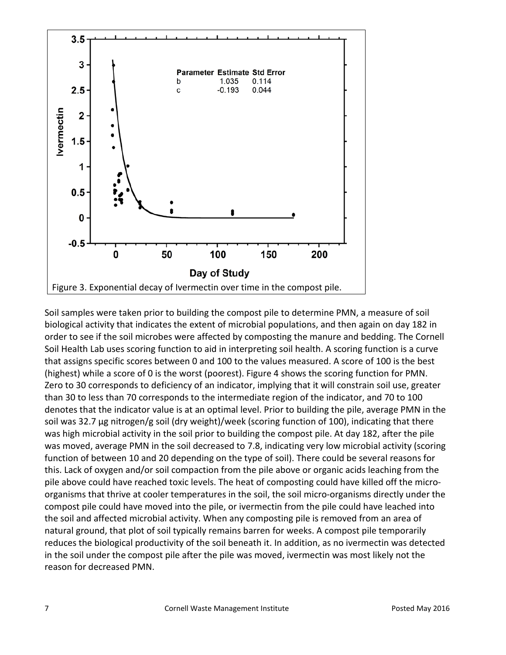

Soil samples were taken prior to building the compost pile to determine PMN, a measure of soil biological activity that indicates the extent of microbial populations, and then again on day 182 in order to see if the soil microbes were affected by composting the manure and bedding. The Cornell Soil Health Lab uses scoring function to aid in interpreting soil health. A scoring function is a curve that assigns specific scores between 0 and 100 to the values measured. A score of 100 is the best (highest) while a score of 0 is the worst (poorest). Figure 4 shows the scoring function for PMN. Zero to 30 corresponds to deficiency of an indicator, implying that it will constrain soil use, greater than 30 to less than 70 corresponds to the intermediate region of the indicator, and 70 to 100 denotes that the indicator value is at an optimal level. Prior to building the pile, average PMN in the soil was 32.7  $\mu$ g nitrogen/g soil (dry weight)/week (scoring function of 100), indicating that there was high microbial activity in the soil prior to building the compost pile. At day 182, after the pile was moved, average PMN in the soil decreased to 7.8, indicating very low microbial activity (scoring function of between 10 and 20 depending on the type of soil). There could be several reasons for this. Lack of oxygen and/or soil compaction from the pile above or organic acids leaching from the pile above could have reached toxic levels. The heat of composting could have killed off the microorganisms that thrive at cooler temperatures in the soil, the soil micro-organisms directly under the compost pile could have moved into the pile, or ivermectin from the pile could have leached into the soil and affected microbial activity. When any composting pile is removed from an area of natural ground, that plot of soil typically remains barren for weeks. A compost pile temporarily reduces the biological productivity of the soil beneath it. In addition, as no ivermectin was detected in the soil under the compost pile after the pile was moved, ivermectin was most likely not the reason for decreased PMN.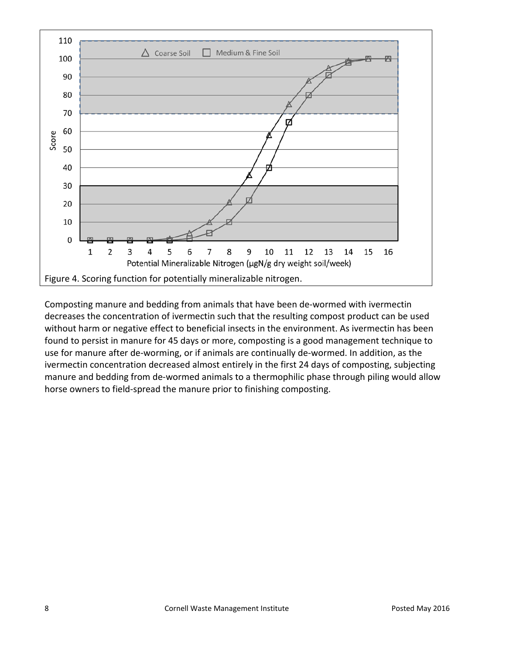

Composting manure and bedding from animals that have been de-wormed with ivermectin decreases the concentration of ivermectin such that the resulting compost product can be used without harm or negative effect to beneficial insects in the environment. As ivermectin has been found to persist in manure for 45 days or more, composting is a good management technique to use for manure after de-worming, or if animals are continually de-wormed. In addition, as the ivermectin concentration decreased almost entirely in the first 24 days of composting, subjecting manure and bedding from de-wormed animals to a thermophilic phase through piling would allow horse owners to field-spread the manure prior to finishing composting.